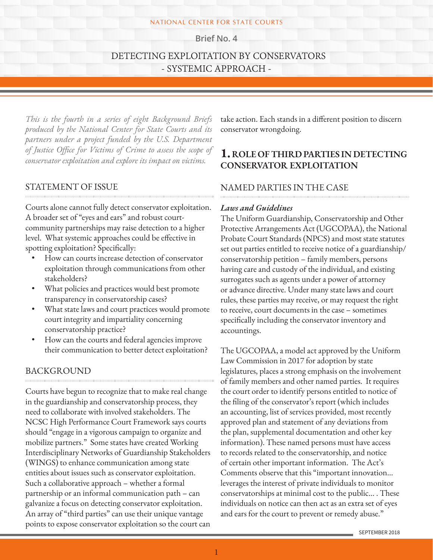#### NATIONAL CENTER FOR STATE COURTS

**Brief No. 4**

# DETECTING EXPLOITATION BY CONSERVATORS - SYSTEMIC APPROACH -

*This is the fourth in a series of eight Background Briefs produced by the National Center for State Courts and its partners under a project funded by the U.S. Department of Justice Office for Victims of Crime to assess the scope of conservator exploitation and explore its impact on victims.*

### STATEMENT OF ISSUE

Courts alone cannot fully detect conservator exploitation. A broader set of "eyes and ears" and robust courtcommunity partnerships may raise detection to a higher level. What systemic approaches could be effective in spotting exploitation? Specifically:

- How can courts increase detection of conservator exploitation through communications from other stakeholders?
- What policies and practices would best promote transparency in conservatorship cases?
- What state laws and court practices would promote court integrity and impartiality concerning conservatorship practice?
- How can the courts and federal agencies improve their communication to better detect exploitation?

### BACKGROUND

Courts have begun to recognize that to make real change in the guardianship and conservatorship process, they need to collaborate with involved stakeholders. The NCSC High Performance Court Framework says courts should "engage in a vigorous campaign to organize and mobilize partners." Some states have created Working Interdisciplinary Networks of Guardianship Stakeholders (WINGS) to enhance communication among state entities about issues such as conservator exploitation. Such a collaborative approach – whether a formal partnership or an informal communication path – can galvanize a focus on detecting conservator exploitation. An array of "third parties" can use their unique vantage points to expose conservator exploitation so the court can

take action. Each stands in a different position to discern conservator wrongdoing.

## **1. ROLE OF THIRD PARTIES IN DETECTING CONSERVATOR EXPLOITATION**

### NAMED PARTIES IN THE CASE

#### *Laws and Guidelines*

The Uniform Guardianship, Conservatorship and Other Protective Arrangements Act (UGCOPAA), the National Probate Court Standards (NPCS) and most state statutes set out parties entitled to receive notice of a guardianship/ conservatorship petition – family members, persons having care and custody of the individual, and existing surrogates such as agents under a power of attorney or advance directive. Under many state laws and court rules, these parties may receive, or may request the right to receive, court documents in the case – sometimes specifically including the conservator inventory and accountings.

The UGCOPAA, a model act approved by the Uniform Law Commission in 2017 for adoption by state legislatures, places a strong emphasis on the involvement of family members and other named parties. It requires the court order to identify persons entitled to notice of the filing of the conservator's report (which includes an accounting, list of services provided, most recently approved plan and statement of any deviations from the plan, supplemental documentation and other key information). These named persons must have access to records related to the conservatorship, and notice of certain other important information. The Act's Comments observe that this "important innovation... leverages the interest of private individuals to monitor conservatorships at minimal cost to the public... . These individuals on notice can then act as an extra set of eyes and ears for the court to prevent or remedy abuse."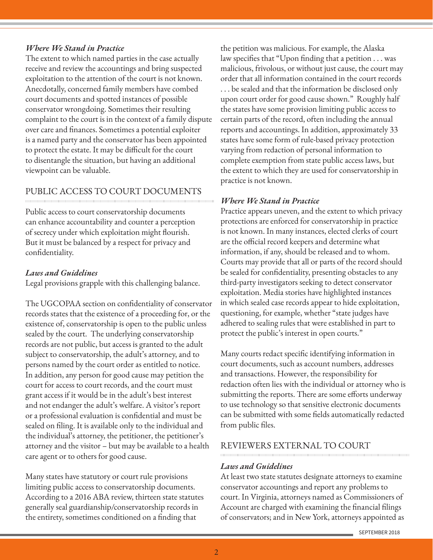### *Where We Stand in Practice*

The extent to which named parties in the case actually receive and review the accountings and bring suspected exploitation to the attention of the court is not known. Anecdotally, concerned family members have combed court documents and spotted instances of possible conservator wrongdoing. Sometimes their resulting complaint to the court is in the context of a family dispute over care and finances. Sometimes a potential exploiter is a named party and the conservator has been appointed to protect the estate. It may be difficult for the court to disentangle the situation, but having an additional viewpoint can be valuable.

# PUBLIC ACCESS TO COURT DOCUMENTS

Public access to court conservatorship documents can enhance accountability and counter a perception of secrecy under which exploitation might flourish. But it must be balanced by a respect for privacy and confidentiality.

## *Laws and Guidelines*

Legal provisions grapple with this challenging balance.

The UGCOPAA section on confidentiality of conservator records states that the existence of a proceeding for, or the existence of, conservatorship is open to the public unless sealed by the court. The underlying conservatorship records are not public, but access is granted to the adult subject to conservatorship, the adult's attorney, and to persons named by the court order as entitled to notice. In addition, any person for good cause may petition the court for access to court records, and the court must grant access if it would be in the adult's best interest and not endanger the adult's welfare. A visitor's report or a professional evaluation is confidential and must be sealed on filing. It is available only to the individual and the individual's attorney, the petitioner, the petitioner's attorney and the visitor – but may be available to a health care agent or to others for good cause.

Many states have statutory or court rule provisions limiting public access to conservatorship documents. According to a 2016 ABA review, thirteen state statutes generally seal guardianship/conservatorship records in the entirety, sometimes conditioned on a finding that

the petition was malicious. For example, the Alaska law specifies that "Upon finding that a petition . . . was malicious, frivolous, or without just cause, the court may order that all information contained in the court records . . . be sealed and that the information be disclosed only upon court order for good cause shown." Roughly half the states have some provision limiting public access to certain parts of the record, often including the annual reports and accountings. In addition, approximately 33 states have some form of rule-based privacy protection varying from redaction of personal information to complete exemption from state public access laws, but the extent to which they are used for conservatorship in practice is not known.

### *Where We Stand in Practice*

Practice appears uneven, and the extent to which privacy protections are enforced for conservatorship in practice is not known. In many instances, elected clerks of court are the official record keepers and determine what information, if any, should be released and to whom. Courts may provide that all or parts of the record should be sealed for confidentiality, presenting obstacles to any third-party investigators seeking to detect conservator exploitation. Media stories have highlighted instances in which sealed case records appear to hide exploitation, questioning, for example, whether "state judges have adhered to sealing rules that were established in part to protect the public's interest in open courts."

Many courts redact specific identifying information in court documents, such as account numbers, addresses and transactions. However, the responsibility for redaction often lies with the individual or attorney who is submitting the reports. There are some efforts underway to use technology so that sensitive electronic documents can be submitted with some fields automatically redacted from public files.

## REVIEWERS EXTERNAL TO COURT

### *Laws and Guidelines*

At least two state statutes designate attorneys to examine conservator accountings and report any problems to court. In Virginia, attorneys named as Commissioners of Account are charged with examining the financial filings of conservators; and in New York, attorneys appointed as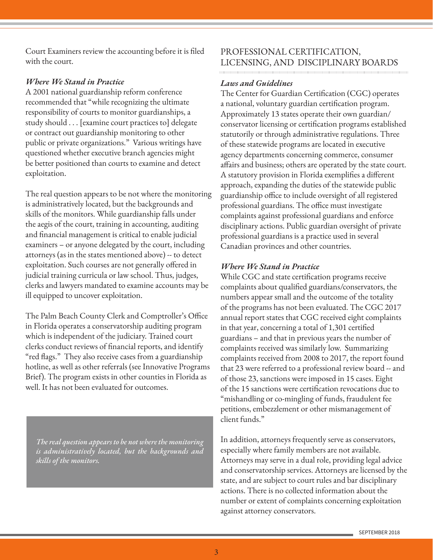Court Examiners review the accounting before it is filed with the court.

### *Where We Stand in Practice*

A 2001 national guardianship reform conference recommended that "while recognizing the ultimate responsibility of courts to monitor guardianships, a study should . . . [examine court practices to] delegate or contract out guardianship monitoring to other public or private organizations." Various writings have questioned whether executive branch agencies might be better positioned than courts to examine and detect exploitation.

The real question appears to be not where the monitoring is administratively located, but the backgrounds and skills of the monitors. While guardianship falls under the aegis of the court, training in accounting, auditing and financial management is critical to enable judicial examiners – or anyone delegated by the court, including attorneys (as in the states mentioned above) -- to detect exploitation. Such courses are not generally offered in judicial training curricula or law school. Thus, judges, clerks and lawyers mandated to examine accounts may be ill equipped to uncover exploitation.

The Palm Beach County Clerk and Comptroller's Office in Florida operates a conservatorship auditing program which is independent of the judiciary. Trained court clerks conduct reviews of financial reports, and identify "red flags." They also receive cases from a guardianship hotline, as well as other referrals (see Innovative Programs Brief). The program exists in other counties in Florida as well. It has not been evaluated for outcomes.

*The real question appears to be not where the monitoring is administratively located, but the backgrounds and skills of the monitors.* 

# PROFESSIONAL CERTIFICATION, LICENSING, AND DISCIPLINARY BOARDS

## *Laws and Guidelines*

The Center for Guardian Certification (CGC) operates a national, voluntary guardian certification program. Approximately 13 states operate their own guardian/ conservator licensing or certification programs established statutorily or through administrative regulations. Three of these statewide programs are located in executive agency departments concerning commerce, consumer affairs and business; others are operated by the state court. A statutory provision in Florida exemplifies a different approach, expanding the duties of the statewide public guardianship office to include oversight of all registered professional guardians. The office must investigate complaints against professional guardians and enforce disciplinary actions. Public guardian oversight of private professional guardians is a practice used in several Canadian provinces and other countries.

## *Where We Stand in Practice*

While CGC and state certification programs receive complaints about qualified guardians/conservators, the numbers appear small and the outcome of the totality of the programs has not been evaluated. The CGC 2017 annual report states that CGC received eight complaints in that year, concerning a total of 1,301 certified guardians – and that in previous years the number of complaints received was similarly low. Summarizing complaints received from 2008 to 2017, the report found that 23 were referred to a professional review board -- and of those 23, sanctions were imposed in 15 cases. Eight of the 15 sanctions were certification revocations due to "mishandling or co-mingling of funds, fraudulent fee petitions, embezzlement or other mismanagement of client funds."

In addition, attorneys frequently serve as conservators, especially where family members are not available. Attorneys may serve in a dual role, providing legal advice and conservatorship services. Attorneys are licensed by the state, and are subject to court rules and bar disciplinary actions. There is no collected information about the number or extent of complaints concerning exploitation against attorney conservators.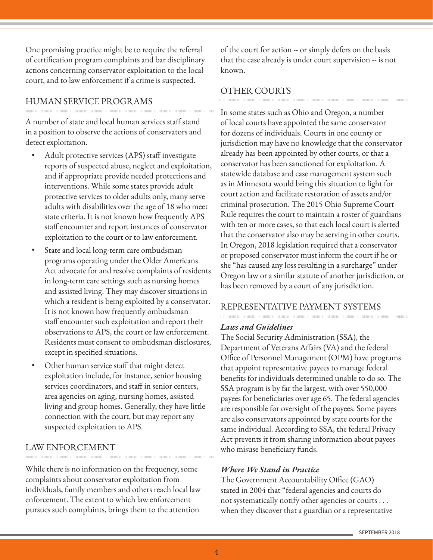One promising practice might be to require the referral of certification program complaints and bar disciplinary actions concerning conservator exploitation to the local court, and to law enforcement if a crime is suspected.

## HUMAN SERVICE PROGRAMS

A number of state and local human services staff stand in a position to observe the actions of conservators and detect exploitation.

- Adult protective services (APS) staff investigate reports of suspected abuse, neglect and exploitation, and if appropriate provide needed protections and interventions. While some states provide adult protective services to older adults only, many serve adults with disabilities over the age of 18 who meet state criteria. It is not known how frequently APS staff encounter and report instances of conservator exploitation to the court or to law enforcement.
- State and local long-term care ombudsman programs operating under the Older Americans Act advocate for and resolve complaints of residents in long-term care settings such as nursing homes and assisted living. They may discover situations in which a resident is being exploited by a conservator. It is not known how frequently ombudsman staff encounter such exploitation and report their observations to APS, the court or law enforcement. Residents must consent to ombudsman disclosures, except in specified situations.
- Other human service staff that might detect exploitation include, for instance, senior housing services coordinators, and staff in senior centers, area agencies on aging, nursing homes, assisted living and group homes. Generally, they have little connection with the court, but may report any suspected exploitation to APS.

# LAW ENFORCEMENT

While there is no information on the frequency, some complaints about conservator exploitation from individuals, family members and others reach local law enforcement. The extent to which law enforcement pursues such complaints, brings them to the attention

of the court for action -- or simply defers on the basis that the case already is under court supervision -- is not known.

## OTHER COURTS

In some states such as Ohio and Oregon, a number of local courts have appointed the same conservator for dozens of individuals. Courts in one county or jurisdiction may have no knowledge that the conservator already has been appointed by other courts, or that a conservator has been sanctioned for exploitation. A statewide database and case management system such as in Minnesota would bring this situation to light for court action and facilitate restoration of assets and/or criminal prosecution. The 2015 Ohio Supreme Court Rule requires the court to maintain a roster of guardians with ten or more cases, so that each local court is alerted that the conservator also may be serving in other courts. In Oregon, 2018 legislation required that a conservator or proposed conservator must inform the court if he or she "has caused any loss resulting in a surcharge" under Oregon law or a similar statute of another jurisdiction, or has been removed by a court of any jurisdiction.

### REPRESENTATIVE PAYMENT SYSTEMS

### *Laws and Guidelines*

The Social Security Administration (SSA), the Department of Veterans Affairs (VA) and the federal Office of Personnel Management (OPM) have programs that appoint representative payees to manage federal benefits for individuals determined unable to do so. The SSA program is by far the largest, with over 550,000 payees for beneficiaries over age 65. The federal agencies are responsible for oversight of the payees. Some payees are also conservators appointed by state courts for the same individual. According to SSA, the federal Privacy Act prevents it from sharing information about payees who misuse beneficiary funds.

### *Where We Stand in Practice*

The Government Accountability Office (GAO) stated in 2004 that "federal agencies and courts do not systematically notify other agencies or courts . . . when they discover that a guardian or a representative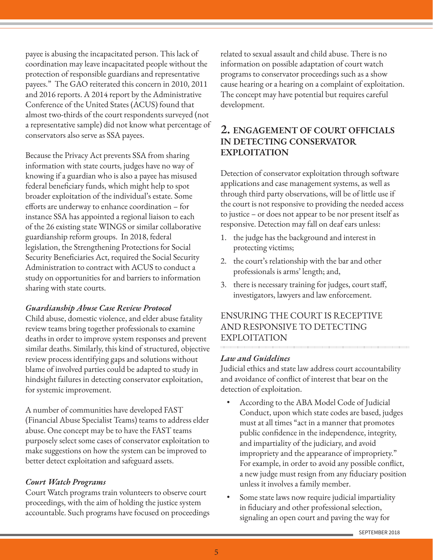payee is abusing the incapacitated person. This lack of coordination may leave incapacitated people without the protection of responsible guardians and representative payees." The GAO reiterated this concern in 2010, 2011 and 2016 reports. A 2014 report by the Administrative Conference of the United States (ACUS) found that almost two-thirds of the court respondents surveyed (not a representative sample) did not know what percentage of conservators also serve as SSA payees.

Because the Privacy Act prevents SSA from sharing information with state courts, judges have no way of knowing if a guardian who is also a payee has misused federal beneficiary funds, which might help to spot broader exploitation of the individual's estate. Some efforts are underway to enhance coordination – for instance SSA has appointed a regional liaison to each of the 26 existing state WINGS or similar collaborative guardianship reform groups. In 2018, federal legislation, the Strengthening Protections for Social Security Beneficiaries Act, required the Social Security Administration to contract with ACUS to conduct a study on opportunities for and barriers to information sharing with state courts.

#### *Guardianship Abuse Case Review Protocol*

Child abuse, domestic violence, and elder abuse fatality review teams bring together professionals to examine deaths in order to improve system responses and prevent similar deaths. Similarly, this kind of structured, objective review process identifying gaps and solutions without blame of involved parties could be adapted to study in hindsight failures in detecting conservator exploitation, for systemic improvement.

A number of communities have developed FAST (Financial Abuse Specialist Teams) teams to address elder abuse. One concept may be to have the FAST teams purposely select some cases of conservator exploitation to make suggestions on how the system can be improved to better detect exploitation and safeguard assets.

### *Court Watch Programs*

Court Watch programs train volunteers to observe court proceedings, with the aim of holding the justice system accountable. Such programs have focused on proceedings related to sexual assault and child abuse. There is no information on possible adaptation of court watch programs to conservator proceedings such as a show cause hearing or a hearing on a complaint of exploitation. The concept may have potential but requires careful development.

# **2. ENGAGEMENT OF COURT OFFICIALS IN DETECTING CONSERVATOR EXPLOITATION**

Detection of conservator exploitation through software applications and case management systems, as well as through third party observations, will be of little use if the court is not responsive to providing the needed access to justice – or does not appear to be nor present itself as responsive. Detection may fall on deaf ears unless:

- 1. the judge has the background and interest in protecting victims;
- 2. the court's relationship with the bar and other professionals is arms' length; and,
- 3. there is necessary training for judges, court staff, investigators, lawyers and law enforcement.

### ENSURING THE COURT IS RECEPTIVE AND RESPONSIVE TO DETECTING EXPLOITATION 0000000000000000000000000000

#### *Law and Guidelines*

Judicial ethics and state law address court accountability and avoidance of conflict of interest that bear on the detection of exploitation.

- According to the ABA Model Code of Judicial Conduct, upon which state codes are based, judges must at all times "act in a manner that promotes public confidence in the independence, integrity, and impartiality of the judiciary, and avoid impropriety and the appearance of impropriety." For example, in order to avoid any possible conflict, a new judge must resign from any fiduciary position unless it involves a family member.
- Some state laws now require judicial impartiality in fiduciary and other professional selection, signaling an open court and paving the way for